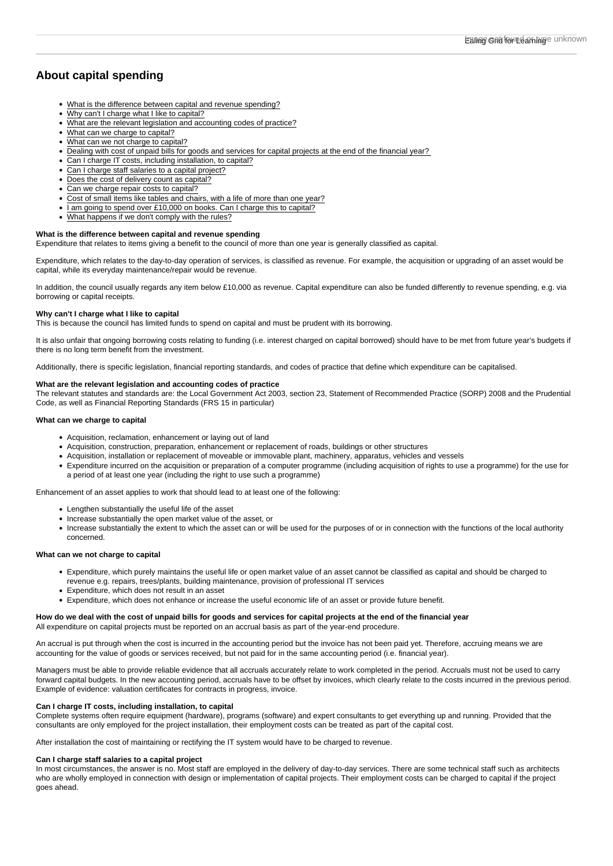# About capital spending

- [What is the difference between capital and revenue spending?](https://www.egfl.org.uk/finance-and-data/capital-spending/frequently-asked-questions#Q1)
- [Why can't I charge what I like to capital?](https://www.egfl.org.uk/finance-and-data/capital-spending/frequently-asked-questions#Q2)
- [What are the relevant legislation and accounting codes of practice?](https://www.egfl.org.uk/finance-and-data/capital-spending/frequently-asked-questions#Q3)
- [What can we charge to capital?](https://www.egfl.org.uk/finance-and-data/capital-spending/frequently-asked-questions#Q4)
- [What can we not charge to capital?](https://www.egfl.org.uk/finance-and-data/capital-spending/frequently-asked-questions#Q5)
- [Dealing with cost of unpaid bills for goods and services for capital projects at the end of the financial year?](https://www.egfl.org.uk/finance-and-data/capital-spending/frequently-asked-questions#Q6)
- [Can I charge IT costs, including installation, to capital?](https://www.egfl.org.uk/finance-and-data/capital-spending/frequently-asked-questions#Q7)
- [Can I charge staff salaries to a capital project?](https://www.egfl.org.uk/finance-and-data/capital-spending/frequently-asked-questions#Q8)
- [Does the cost of delivery count as capital?](https://www.egfl.org.uk/finance-and-data/capital-spending/frequently-asked-questions#Q9)
- [Can we charge repair costs to capital?](https://www.egfl.org.uk/finance-and-data/capital-spending/frequently-asked-questions#Q10)
- [Cost of small items like tables and chairs, with a life of more than one year?](https://www.egfl.org.uk/finance-and-data/capital-spending/frequently-asked-questions#Q11)
- [I am going to spend over £10,000 on books. Can I charge this to capital?](https://www.egfl.org.uk/finance-and-data/capital-spending/frequently-asked-questions#Q12)
- [What happens if we don't comply with the rules?](https://www.egfl.org.uk/finance-and-data/capital-spending/frequently-asked-questions#Q13)

## What is the difference between capital and revenue spending

Expenditure that relates to items giving a benefit to the council of more than one year is generally classified as capital.

Expenditure, which relates to the day-to-day operation of services, is classified as revenue. For example, the acquisition or upgrading of an asset would be capital, while its everyday maintenance/repair would be revenue.

In addition, the council usually regards any item below £10,000 as revenue. Capital expenditure can also be funded differently to revenue spending, e.g. via borrowing or capital receipts.

#### Why can't I charge what I like to capital

This is because the council has limited funds to spend on capital and must be prudent with its borrowing.

It is also unfair that ongoing borrowing costs relating to funding (i.e. interest charged on capital borrowed) should have to be met from future year's budgets if there is no long term benefit from the investment.

Additionally, there is specific legislation, financial reporting standards, and codes of practice that define which expenditure can be capitalised.

## What are the relevant legislation and accounting codes of practice

The relevant statutes and standards are: the Local Government Act 2003, section 23, Statement of Recommended Practice (SORP) 2008 and the Prudential Code, as well as Financial Reporting Standards (FRS 15 in particular)

#### What can we charge to capital

- Acquisition, reclamation, enhancement or laying out of land
- Acquisition, construction, preparation, enhancement or replacement of roads, buildings or other structures
- Acquisition, installation or replacement of moveable or immovable plant, machinery, apparatus, vehicles and vessels
- Expenditure incurred on the acquisition or preparation of a computer programme (including acquisition of rights to use a programme) for the use for a period of at least one year (including the right to use such a programme)

Enhancement of an asset applies to work that should lead to at least one of the following:

- Lengthen substantially the useful life of the asset
- Increase substantially the open market value of the asset, or
- Increase substantially the extent to which the asset can or will be used for the purposes of or in connection with the functions of the local authority concerned.

## What can we not charge to capital

- Expenditure, which purely maintains the useful life or open market value of an asset cannot be classified as capital and should be charged to revenue e.g. repairs, trees/plants, building maintenance, provision of professional IT services
- Expenditure, which does not result in an asset
- Expenditure, which does not enhance or increase the useful economic life of an asset or provide future benefit.

How do we deal with the cost of unpaid bills for goods and services for capital projects at the end of the financial year All expenditure on capital projects must be reported on an accrual basis as part of the year-end procedure.

An accrual is put through when the cost is incurred in the accounting period but the invoice has not been paid yet. Therefore, accruing means we are accounting for the value of goods or services received, but not paid for in the same accounting period (i.e. financial year).

Managers must be able to provide reliable evidence that all accruals accurately relate to work completed in the period. Accruals must not be used to carry forward capital budgets. In the new accounting period, accruals have to be offset by invoices, which clearly relate to the costs incurred in the previous period. Example of evidence: valuation certificates for contracts in progress, invoice.

### Can I charge IT costs, including installation, to capital

Complete systems often require equipment (hardware), programs (software) and expert consultants to get everything up and running. Provided that the consultants are only employed for the project installation, their employment costs can be treated as part of the capital cost.

After installation the cost of maintaining or rectifying the IT system would have to be charged to revenue.

## Can I charge staff salaries to a capital project

In most circumstances, the answer is no. Most staff are employed in the delivery of day-to-day services. There are some technical staff such as architects who are wholly employed in connection with design or implementation of capital projects. Their employment costs can be charged to capital if the project goes ahead.